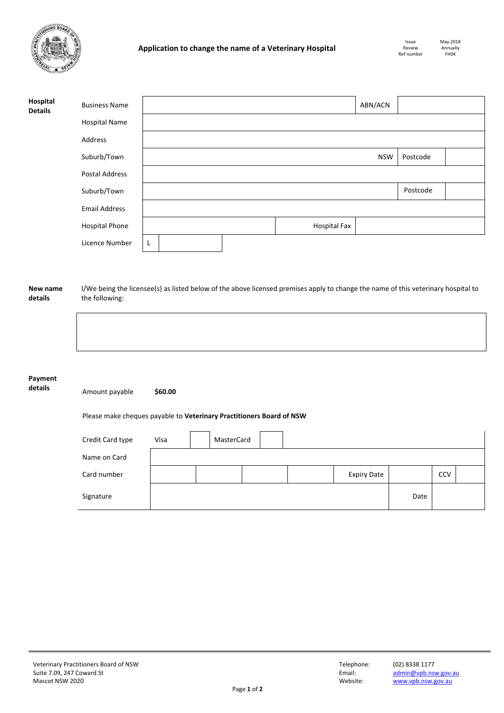

| Hospital<br><b>Details</b> | <b>Business Name</b>  |   |  |  |                     | ABN/ACN    |          |  |
|----------------------------|-----------------------|---|--|--|---------------------|------------|----------|--|
|                            | <b>Hospital Name</b>  |   |  |  |                     |            |          |  |
|                            | Address               |   |  |  |                     |            |          |  |
|                            | Suburb/Town           |   |  |  |                     | <b>NSW</b> | Postcode |  |
|                            | Postal Address        |   |  |  |                     |            |          |  |
|                            | Suburb/Town           |   |  |  |                     |            | Postcode |  |
|                            | <b>Email Address</b>  |   |  |  |                     |            |          |  |
|                            | <b>Hospital Phone</b> |   |  |  | <b>Hospital Fax</b> |            |          |  |
|                            | Licence Number        | L |  |  |                     |            |          |  |

## **New name details** I/We being the licensee(s) as listed below of the above licensed premises apply to change the name of this veterinary hospital to the following:

## **Payment**

**details** Amount payable **\$60.00**

## Please make cheques payable to **Veterinary Practitioners Board of NSW**

| Credit Card type | Visa | MasterCard |  |                    |      |            |  |
|------------------|------|------------|--|--------------------|------|------------|--|
| Name on Card     |      |            |  |                    |      |            |  |
| Card number      |      |            |  | <b>Expiry Date</b> |      | <b>CCV</b> |  |
| Signature        |      |            |  |                    | Date |            |  |